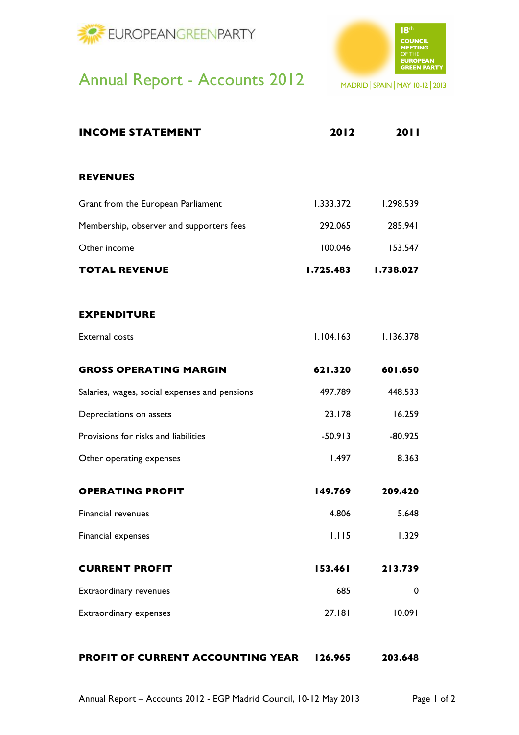



## Annual Report - Accounts 2012

MADRID | SPAIN | MAY 10-12 | 2013

| <b>INCOME STATEMENT</b>                       | 2012      | 2011      |
|-----------------------------------------------|-----------|-----------|
|                                               |           |           |
| <b>REVENUES</b>                               |           |           |
| Grant from the European Parliament            | 1.333.372 | 1.298.539 |
| Membership, observer and supporters fees      | 292.065   | 285.941   |
| Other income                                  | 100.046   | 153.547   |
| <b>TOTAL REVENUE</b>                          | 1.725.483 | 1.738.027 |
| <b>EXPENDITURE</b>                            |           |           |
| <b>External costs</b>                         | 1.104.163 | 1.136.378 |
| <b>GROSS OPERATING MARGIN</b>                 | 621.320   | 601.650   |
| Salaries, wages, social expenses and pensions | 497.789   | 448.533   |
| Depreciations on assets                       | 23.178    | 16.259    |
| Provisions for risks and liabilities          | $-50.913$ | $-80.925$ |
| Other operating expenses                      | 1.497     | 8.363     |
| <b>OPERATING PROFIT</b>                       | 149.769   | 209.420   |
| Financial revenues                            | 4.806     | 5.648     |
| Financial expenses                            | 1.115     | 1.329     |
| <b>CURRENT PROFIT</b>                         | 153.461   | 213.739   |
| Extraordinary revenues                        | 685       | 0         |
| Extraordinary expenses                        | 27.181    | 10.091    |
| <b>PROFIT OF CURRENT ACCOUNTING YEAR</b>      | 126.965   | 203.648   |